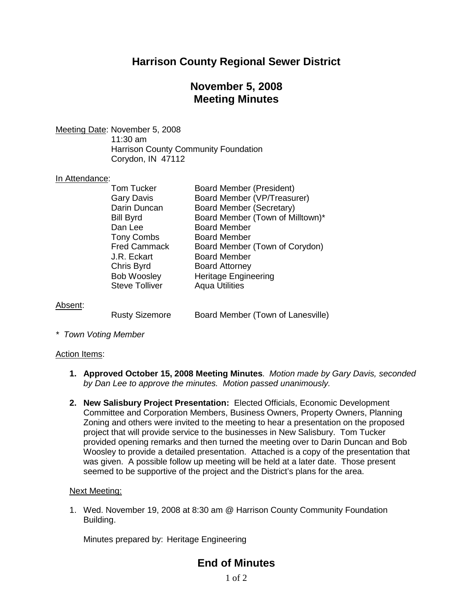# **Harrison County Regional Sewer District**

# **November 5, 2008 Meeting Minutes**

Meeting Date: November 5, 2008

11:30 am Harrison County Community Foundation Corydon, IN 47112

## In Attendance:

| <b>Tom Tucker</b>     | <b>Board Member (President)</b>  |
|-----------------------|----------------------------------|
|                       |                                  |
| <b>Gary Davis</b>     | Board Member (VP/Treasurer)      |
| Darin Duncan          | <b>Board Member (Secretary)</b>  |
| <b>Bill Byrd</b>      | Board Member (Town of Milltown)* |
| Dan Lee               | <b>Board Member</b>              |
| <b>Tony Combs</b>     | <b>Board Member</b>              |
| <b>Fred Cammack</b>   | Board Member (Town of Corydon)   |
| J.R. Eckart           | <b>Board Member</b>              |
| Chris Byrd            | <b>Board Attorney</b>            |
| <b>Bob Woosley</b>    | <b>Heritage Engineering</b>      |
| <b>Steve Tolliver</b> | <b>Aqua Utilities</b>            |
|                       |                                  |

Absent:

Rusty Sizemore Board Member (Town of Lanesville)

*\* Town Voting Member*

### Action Items:

- **1. Approved October 15, 2008 Meeting Minutes**. *Motion made by Gary Davis, seconded by Dan Lee to approve the minutes. Motion passed unanimously.*
- **2. New Salisbury Project Presentation:** Elected Officials, Economic Development Committee and Corporation Members, Business Owners, Property Owners, Planning Zoning and others were invited to the meeting to hear a presentation on the proposed project that will provide service to the businesses in New Salisbury. Tom Tucker provided opening remarks and then turned the meeting over to Darin Duncan and Bob Woosley to provide a detailed presentation. Attached is a copy of the presentation that was given. A possible follow up meeting will be held at a later date. Those present seemed to be supportive of the project and the District's plans for the area.

### Next Meeting:

1. Wed. November 19, 2008 at 8:30 am @ Harrison County Community Foundation Building.

Minutes prepared by: Heritage Engineering